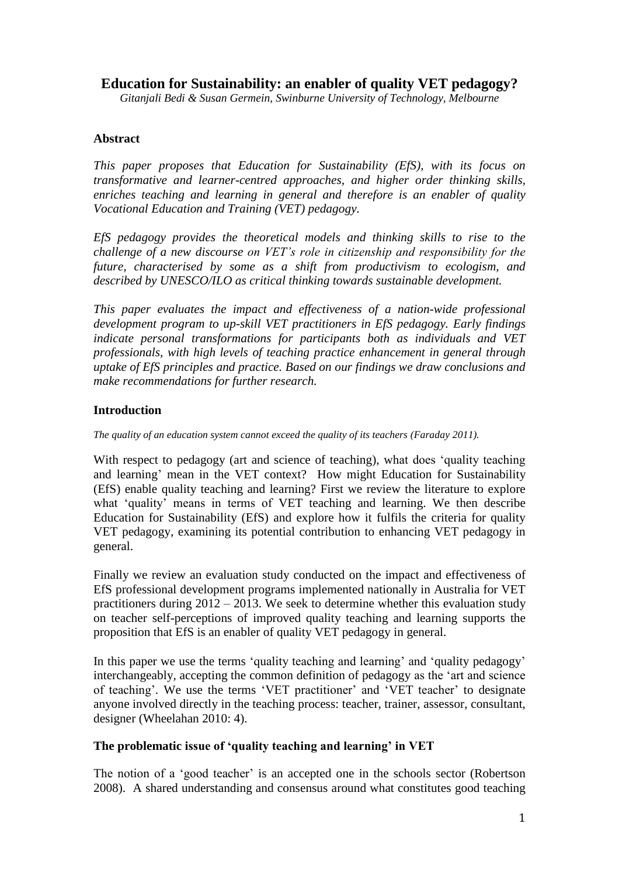# **Education for Sustainability: an enabler of quality VET pedagogy?**

*Gitanjali Bedi & Susan Germein, Swinburne University of Technology, Melbourne*

## **Abstract**

*This paper proposes that Education for Sustainability (EfS), with its focus on transformative and learner-centred approaches, and higher order thinking skills, enriches teaching and learning in general and therefore is an enabler of quality Vocational Education and Training (VET) pedagogy.* 

*EfS pedagogy provides the theoretical models and thinking skills to rise to the challenge of a new discourse on VET's role in citizenship and responsibility for the future, characterised by some as a shift from productivism to ecologism, and described by UNESCO/ILO as critical thinking towards sustainable development.* 

*This paper evaluates the impact and effectiveness of a nation-wide professional development program to up-skill VET practitioners in EfS pedagogy. Early findings indicate personal transformations for participants both as individuals and VET professionals, with high levels of teaching practice enhancement in general through uptake of EfS principles and practice. Based on our findings we draw conclusions and make recommendations for further research.*

#### **Introduction**

*The quality of an education system cannot exceed the quality of its teachers (Faraday 2011).*

With respect to pedagogy (art and science of teaching), what does 'quality teaching and learning' mean in the VET context? How might Education for Sustainability (EfS) enable quality teaching and learning? First we review the literature to explore what 'quality' means in terms of VET teaching and learning. We then describe Education for Sustainability (EfS) and explore how it fulfils the criteria for quality VET pedagogy, examining its potential contribution to enhancing VET pedagogy in general.

Finally we review an evaluation study conducted on the impact and effectiveness of EfS professional development programs implemented nationally in Australia for VET practitioners during 2012 – 2013. We seek to determine whether this evaluation study on teacher self-perceptions of improved quality teaching and learning supports the proposition that EfS is an enabler of quality VET pedagogy in general.

In this paper we use the terms 'quality teaching and learning' and 'quality pedagogy' interchangeably, accepting the common definition of pedagogy as the 'art and science of teaching'. We use the terms 'VET practitioner' and 'VET teacher' to designate anyone involved directly in the teaching process: teacher, trainer, assessor, consultant, designer (Wheelahan 2010: 4).

#### **The problematic issue of 'quality teaching and learning' in VET**

The notion of a 'good teacher' is an accepted one in the schools sector (Robertson 2008). A shared understanding and consensus around what constitutes good teaching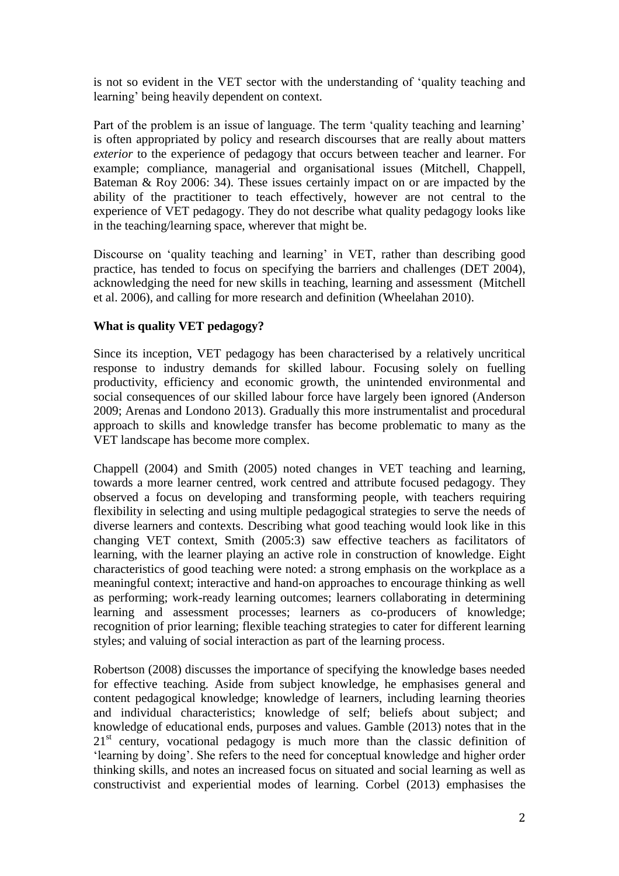is not so evident in the VET sector with the understanding of 'quality teaching and learning' being heavily dependent on context.

Part of the problem is an issue of language. The term 'quality teaching and learning' is often appropriated by policy and research discourses that are really about matters *exterior* to the experience of pedagogy that occurs between teacher and learner. For example; compliance, managerial and organisational issues (Mitchell, Chappell, Bateman & Roy 2006: 34). These issues certainly impact on or are impacted by the ability of the practitioner to teach effectively, however are not central to the experience of VET pedagogy. They do not describe what quality pedagogy looks like in the teaching/learning space, wherever that might be.

Discourse on 'quality teaching and learning' in VET, rather than describing good practice, has tended to focus on specifying the barriers and challenges (DET 2004), acknowledging the need for new skills in teaching, learning and assessment (Mitchell et al. 2006), and calling for more research and definition (Wheelahan 2010).

## **What is quality VET pedagogy?**

Since its inception, VET pedagogy has been characterised by a relatively uncritical response to industry demands for skilled labour. Focusing solely on fuelling productivity, efficiency and economic growth, the unintended environmental and social consequences of our skilled labour force have largely been ignored (Anderson 2009; Arenas and Londono 2013). Gradually this more instrumentalist and procedural approach to skills and knowledge transfer has become problematic to many as the VET landscape has become more complex.

Chappell (2004) and Smith (2005) noted changes in VET teaching and learning, towards a more learner centred, work centred and attribute focused pedagogy. They observed a focus on developing and transforming people, with teachers requiring flexibility in selecting and using multiple pedagogical strategies to serve the needs of diverse learners and contexts. Describing what good teaching would look like in this changing VET context, Smith (2005:3) saw effective teachers as facilitators of learning, with the learner playing an active role in construction of knowledge. Eight characteristics of good teaching were noted: a strong emphasis on the workplace as a meaningful context; interactive and hand-on approaches to encourage thinking as well as performing; work-ready learning outcomes; learners collaborating in determining learning and assessment processes; learners as co-producers of knowledge; recognition of prior learning; flexible teaching strategies to cater for different learning styles; and valuing of social interaction as part of the learning process.

Robertson (2008) discusses the importance of specifying the knowledge bases needed for effective teaching. Aside from subject knowledge, he emphasises general and content pedagogical knowledge; knowledge of learners, including learning theories and individual characteristics; knowledge of self; beliefs about subject; and knowledge of educational ends, purposes and values. Gamble (2013) notes that in the  $21<sup>st</sup>$  century, vocational pedagogy is much more than the classic definition of 'learning by doing'. She refers to the need for conceptual knowledge and higher order thinking skills, and notes an increased focus on situated and social learning as well as constructivist and experiential modes of learning. Corbel (2013) emphasises the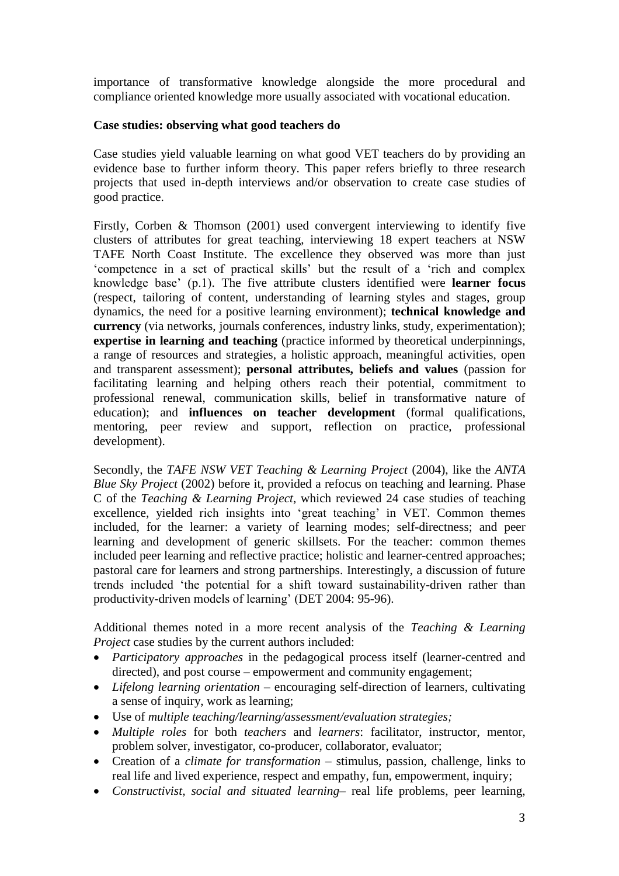importance of transformative knowledge alongside the more procedural and compliance oriented knowledge more usually associated with vocational education.

#### **Case studies: observing what good teachers do**

Case studies yield valuable learning on what good VET teachers do by providing an evidence base to further inform theory. This paper refers briefly to three research projects that used in-depth interviews and/or observation to create case studies of good practice.

Firstly, Corben & Thomson (2001) used convergent interviewing to identify five clusters of attributes for great teaching, interviewing 18 expert teachers at NSW TAFE North Coast Institute. The excellence they observed was more than just 'competence in a set of practical skills' but the result of a 'rich and complex knowledge base' (p.1). The five attribute clusters identified were **learner focus** (respect, tailoring of content, understanding of learning styles and stages, group dynamics, the need for a positive learning environment); **technical knowledge and currency** (via networks, journals conferences, industry links, study, experimentation); **expertise in learning and teaching** (practice informed by theoretical underpinnings, a range of resources and strategies, a holistic approach, meaningful activities, open and transparent assessment); **personal attributes, beliefs and values** (passion for facilitating learning and helping others reach their potential, commitment to professional renewal, communication skills, belief in transformative nature of education); and **influences on teacher development** (formal qualifications, mentoring, peer review and support, reflection on practice, professional development).

Secondly, the *TAFE NSW VET Teaching & Learning Project* (2004), like the *ANTA Blue Sky Project* (2002) before it, provided a refocus on teaching and learning. Phase C of the *Teaching & Learning Project*, which reviewed 24 case studies of teaching excellence, yielded rich insights into 'great teaching' in VET. Common themes included, for the learner: a variety of learning modes; self-directness; and peer learning and development of generic skillsets. For the teacher: common themes included peer learning and reflective practice; holistic and learner-centred approaches; pastoral care for learners and strong partnerships. Interestingly, a discussion of future trends included 'the potential for a shift toward sustainability-driven rather than productivity-driven models of learning' (DET 2004: 95-96).

Additional themes noted in a more recent analysis of the *Teaching & Learning Project* case studies by the current authors included:

- *Participatory approaches* in the pedagogical process itself (learner-centred and directed), and post course – empowerment and community engagement;
- *Lifelong learning orientation* encouraging self-direction of learners, cultivating a sense of inquiry, work as learning;
- Use of *multiple teaching/learning/assessment/evaluation strategies;*
- *Multiple roles* for both *teachers* and *learners*: facilitator, instructor, mentor, problem solver, investigator, co-producer, collaborator, evaluator;
- Creation of a *climate for transformation* stimulus, passion, challenge, links to real life and lived experience, respect and empathy, fun, empowerment, inquiry;
- *Constructivist, social and situated learning* real life problems, peer learning,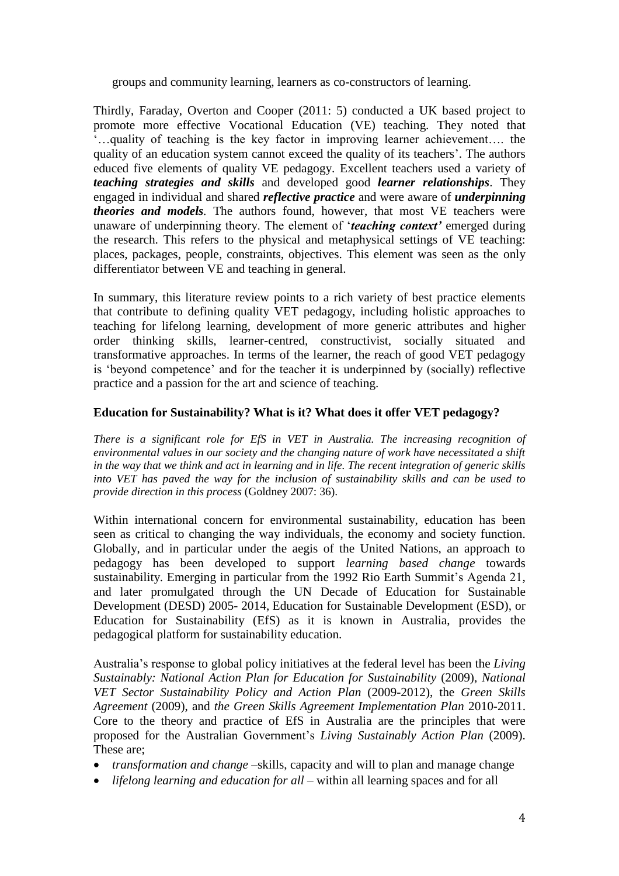groups and community learning, learners as co-constructors of learning.

Thirdly, Faraday, Overton and Cooper (2011: 5) conducted a UK based project to promote more effective Vocational Education (VE) teaching. They noted that '…quality of teaching is the key factor in improving learner achievement…. the quality of an education system cannot exceed the quality of its teachers'. The authors educed five elements of quality VE pedagogy. Excellent teachers used a variety of *teaching strategies and skills* and developed good *learner relationships*. They engaged in individual and shared *reflective practice* and were aware of *underpinning theories and models.* The authors found, however, that most VE teachers were unaware of underpinning theory. The element of '*teaching context'* emerged during the research. This refers to the physical and metaphysical settings of VE teaching: places, packages, people, constraints, objectives. This element was seen as the only differentiator between VE and teaching in general.

In summary, this literature review points to a rich variety of best practice elements that contribute to defining quality VET pedagogy, including holistic approaches to teaching for lifelong learning, development of more generic attributes and higher order thinking skills, learner-centred, constructivist, socially situated and transformative approaches. In terms of the learner, the reach of good VET pedagogy is 'beyond competence' and for the teacher it is underpinned by (socially) reflective practice and a passion for the art and science of teaching.

#### **Education for Sustainability? What is it? What does it offer VET pedagogy?**

*There is a significant role for EfS in VET in Australia. The increasing recognition of environmental values in our society and the changing nature of work have necessitated a shift in the way that we think and act in learning and in life. The recent integration of generic skills into VET has paved the way for the inclusion of sustainability skills and can be used to provide direction in this process* (Goldney 2007: 36).

Within international concern for environmental sustainability, education has been seen as critical to changing the way individuals, the economy and society function. Globally, and in particular under the aegis of the United Nations, an approach to pedagogy has been developed to support *learning based change* towards sustainability. Emerging in particular from the 1992 Rio Earth Summit's Agenda 21, and later promulgated through the UN Decade of Education for Sustainable Development (DESD) 2005- 2014, Education for Sustainable Development (ESD), or Education for Sustainability (EfS) as it is known in Australia, provides the pedagogical platform for sustainability education.

Australia's response to global policy initiatives at the federal level has been the *Living Sustainably: National Action Plan for Education for Sustainability* (2009), *National VET Sector Sustainability Policy and Action Plan* (2009-2012), the *Green Skills Agreement* (2009), and *the Green Skills Agreement Implementation Plan* 2010-2011. Core to the theory and practice of EfS in Australia are the principles that were proposed for the Australian Government's *Living Sustainably Action Plan* (2009). These are;

- *transformation and change* –skills, capacity and will to plan and manage change
- *lifelong learning and education for all* within all learning spaces and for all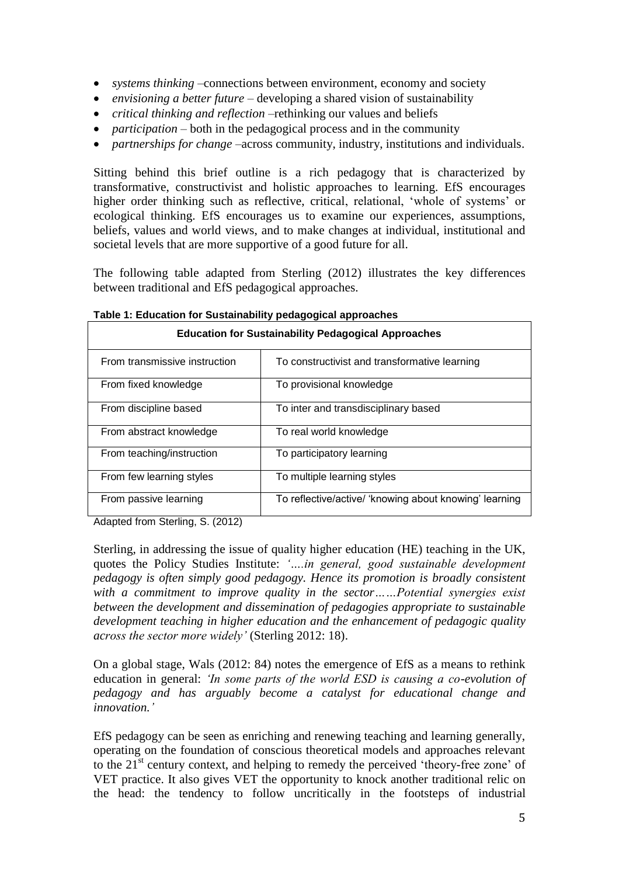- *systems thinking* –connections between environment, economy and society
- *envisioning a better future* developing a shared vision of sustainability
- *critical thinking and reflection* –rethinking our values and beliefs
- *participation* both in the pedagogical process and in the community
- *partnerships for change* –across community, industry, institutions and individuals.

Sitting behind this brief outline is a rich pedagogy that is characterized by transformative, constructivist and holistic approaches to learning. EfS encourages higher order thinking such as reflective, critical, relational, 'whole of systems' or ecological thinking. EfS encourages us to examine our experiences, assumptions, beliefs, values and world views, and to make changes at individual, institutional and societal levels that are more supportive of a good future for all.

The following table adapted from Sterling (2012) illustrates the key differences between traditional and EfS pedagogical approaches.

| <b>Education for Sustainability Pedagogical Approaches</b> |                                                        |
|------------------------------------------------------------|--------------------------------------------------------|
| From transmissive instruction                              | To constructivist and transformative learning          |
| From fixed knowledge                                       | To provisional knowledge                               |
| From discipline based                                      | To inter and transdisciplinary based                   |
| From abstract knowledge                                    | To real world knowledge                                |
| From teaching/instruction                                  | To participatory learning                              |
| From few learning styles                                   | To multiple learning styles                            |
| From passive learning                                      | To reflective/active/ 'knowing about knowing' learning |

**Table 1: Education for Sustainability pedagogical approaches**

Adapted from Sterling, S. (2012)

Sterling, in addressing the issue of quality higher education (HE) teaching in the UK, quotes the Policy Studies Institute: *'….in general, good sustainable development pedagogy is often simply good pedagogy. Hence its promotion is broadly consistent with a commitment to improve quality in the sector……Potential synergies exist between the development and dissemination of pedagogies appropriate to sustainable development teaching in higher education and the enhancement of pedagogic quality across the sector more widely'* (Sterling 2012: 18).

On a global stage, Wals (2012: 84) notes the emergence of EfS as a means to rethink education in general: *'In some parts of the world ESD is causing a co-evolution of pedagogy and has arguably become a catalyst for educational change and innovation.'*

EfS pedagogy can be seen as enriching and renewing teaching and learning generally, operating on the foundation of conscious theoretical models and approaches relevant to the 21<sup>st</sup> century context, and helping to remedy the perceived 'theory-free zone' of VET practice. It also gives VET the opportunity to knock another traditional relic on the head: the tendency to follow uncritically in the footsteps of industrial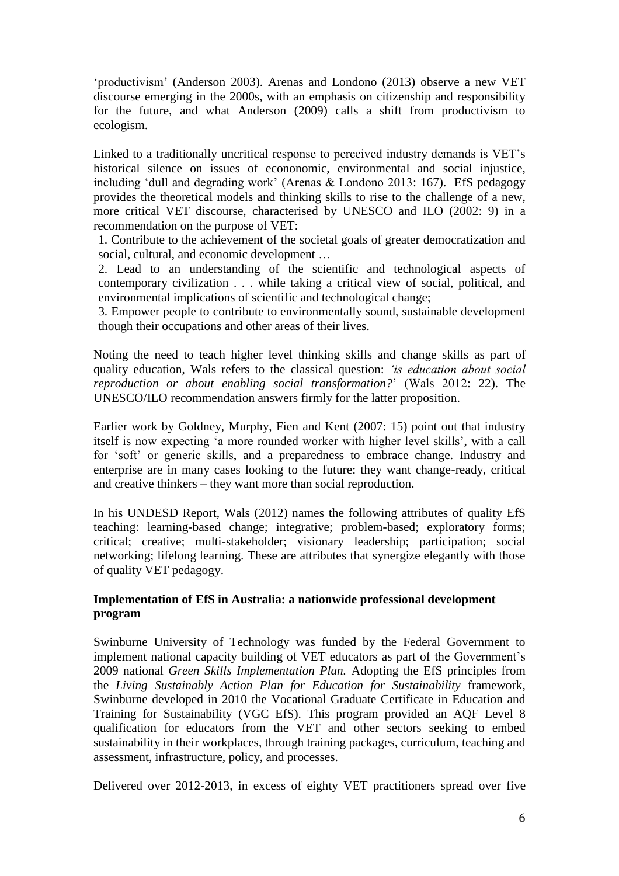'productivism' (Anderson 2003). Arenas and Londono (2013) observe a new VET discourse emerging in the 2000s, with an emphasis on citizenship and responsibility for the future, and what Anderson (2009) calls a shift from productivism to ecologism.

Linked to a traditionally uncritical response to perceived industry demands is VET's historical silence on issues of econonomic, environmental and social injustice, including 'dull and degrading work' (Arenas & Londono 2013: 167). EfS pedagogy provides the theoretical models and thinking skills to rise to the challenge of a new, more critical VET discourse, characterised by UNESCO and ILO (2002: 9) in a recommendation on the purpose of VET:

1. Contribute to the achievement of the societal goals of greater democratization and social, cultural, and economic development …

2. Lead to an understanding of the scientific and technological aspects of contemporary civilization . . . while taking a critical view of social, political, and environmental implications of scientific and technological change;

3. Empower people to contribute to environmentally sound, sustainable development though their occupations and other areas of their lives.

Noting the need to teach higher level thinking skills and change skills as part of quality education, Wals refers to the classical question: *'is education about social reproduction or about enabling social transformation?*' (Wals 2012: 22). The UNESCO/ILO recommendation answers firmly for the latter proposition.

Earlier work by Goldney, Murphy, Fien and Kent (2007: 15) point out that industry itself is now expecting 'a more rounded worker with higher level skills', with a call for 'soft' or generic skills, and a preparedness to embrace change. Industry and enterprise are in many cases looking to the future: they want change-ready, critical and creative thinkers – they want more than social reproduction.

In his UNDESD Report, Wals (2012) names the following attributes of quality EfS teaching: learning-based change; integrative; problem-based; exploratory forms; critical; creative; multi-stakeholder; visionary leadership; participation; social networking; lifelong learning. These are attributes that synergize elegantly with those of quality VET pedagogy.

## **Implementation of EfS in Australia: a nationwide professional development program**

Swinburne University of Technology was funded by the Federal Government to implement national capacity building of VET educators as part of the Government's 2009 national *Green Skills Implementation Plan.* Adopting the EfS principles from the *Living Sustainably Action Plan for Education for Sustainability* framework, Swinburne developed in 2010 the Vocational Graduate Certificate in Education and Training for Sustainability (VGC EfS). This program provided an AQF Level 8 qualification for educators from the VET and other sectors seeking to embed sustainability in their workplaces, through training packages, curriculum, teaching and assessment, infrastructure, policy, and processes.

Delivered over 2012-2013, in excess of eighty VET practitioners spread over five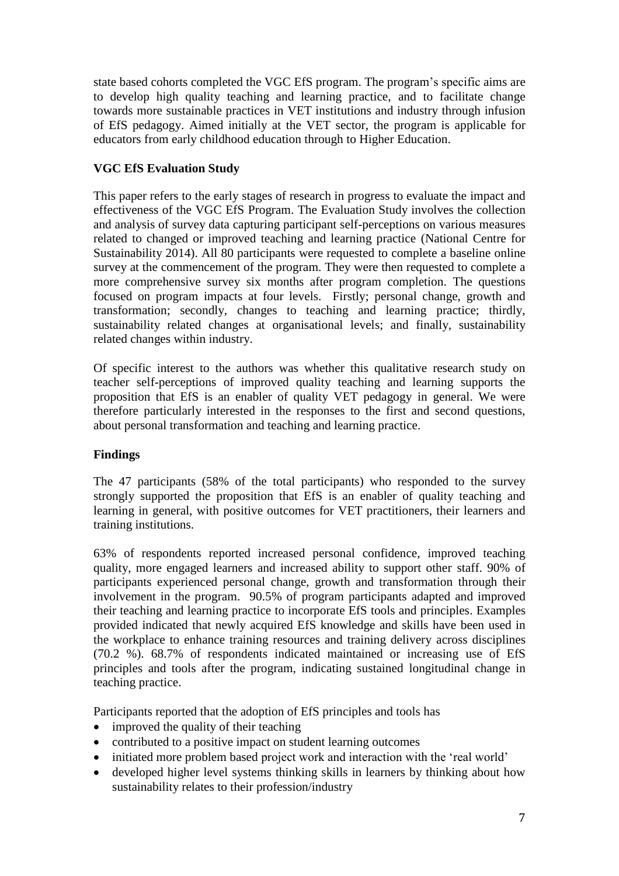state based cohorts completed the VGC EfS program. The program's specific aims are to develop high quality teaching and learning practice, and to facilitate change towards more sustainable practices in VET institutions and industry through infusion of EfS pedagogy. Aimed initially at the VET sector, the program is applicable for educators from early childhood education through to Higher Education.

# **VGC EfS Evaluation Study**

This paper refers to the early stages of research in progress to evaluate the impact and effectiveness of the VGC EfS Program. The Evaluation Study involves the collection and analysis of survey data capturing participant self-perceptions on various measures related to changed or improved teaching and learning practice (National Centre for Sustainability 2014). All 80 participants were requested to complete a baseline online survey at the commencement of the program. They were then requested to complete a more comprehensive survey six months after program completion. The questions focused on program impacts at four levels. Firstly; personal change, growth and transformation; secondly, changes to teaching and learning practice; thirdly, sustainability related changes at organisational levels; and finally, sustainability related changes within industry.

Of specific interest to the authors was whether this qualitative research study on teacher self-perceptions of improved quality teaching and learning supports the proposition that EfS is an enabler of quality VET pedagogy in general. We were therefore particularly interested in the responses to the first and second questions, about personal transformation and teaching and learning practice.

## **Findings**

The 47 participants (58% of the total participants) who responded to the survey strongly supported the proposition that EfS is an enabler of quality teaching and learning in general, with positive outcomes for VET practitioners, their learners and training institutions.

63% of respondents reported increased personal confidence, improved teaching quality, more engaged learners and increased ability to support other staff. 90% of participants experienced personal change, growth and transformation through their involvement in the program. 90.5% of program participants adapted and improved their teaching and learning practice to incorporate EfS tools and principles. Examples provided indicated that newly acquired EfS knowledge and skills have been used in the workplace to enhance training resources and training delivery across disciplines (70.2 %). 68.7% of respondents indicated maintained or increasing use of EfS principles and tools after the program, indicating sustained longitudinal change in teaching practice.

Participants reported that the adoption of EfS principles and tools has

- improved the quality of their teaching
- contributed to a positive impact on student learning outcomes
- initiated more problem based project work and interaction with the 'real world'
- developed higher level systems thinking skills in learners by thinking about how sustainability relates to their profession/industry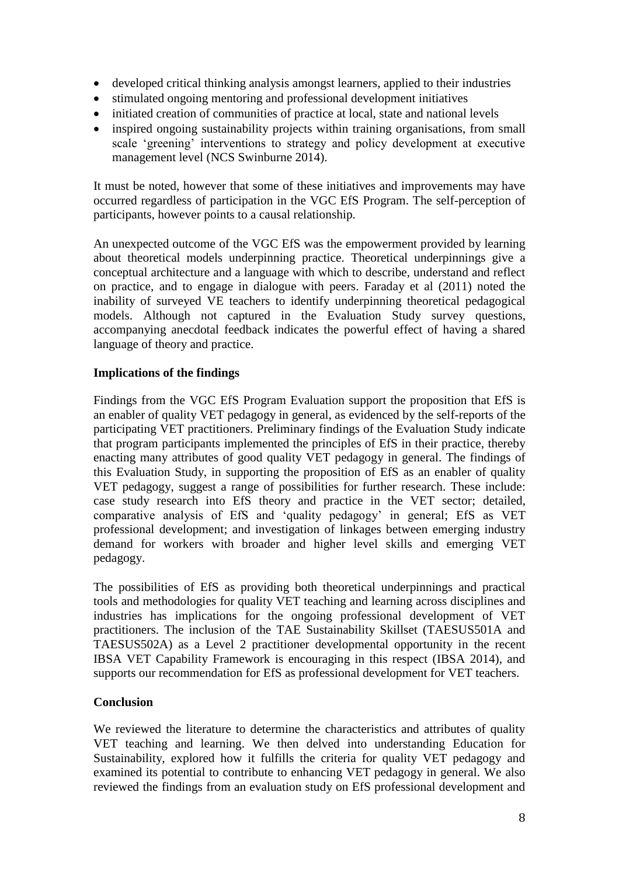- developed critical thinking analysis amongst learners, applied to their industries
- stimulated ongoing mentoring and professional development initiatives
- initiated creation of communities of practice at local, state and national levels
- inspired ongoing sustainability projects within training organisations, from small scale 'greening' interventions to strategy and policy development at executive management level (NCS Swinburne 2014).

It must be noted, however that some of these initiatives and improvements may have occurred regardless of participation in the VGC EfS Program. The self-perception of participants, however points to a causal relationship.

An unexpected outcome of the VGC EfS was the empowerment provided by learning about theoretical models underpinning practice. Theoretical underpinnings give a conceptual architecture and a language with which to describe, understand and reflect on practice, and to engage in dialogue with peers. Faraday et al (2011) noted the inability of surveyed VE teachers to identify underpinning theoretical pedagogical models. Although not captured in the Evaluation Study survey questions, accompanying anecdotal feedback indicates the powerful effect of having a shared language of theory and practice.

## **Implications of the findings**

Findings from the VGC EfS Program Evaluation support the proposition that EfS is an enabler of quality VET pedagogy in general, as evidenced by the self-reports of the participating VET practitioners. Preliminary findings of the Evaluation Study indicate that program participants implemented the principles of EfS in their practice, thereby enacting many attributes of good quality VET pedagogy in general. The findings of this Evaluation Study, in supporting the proposition of EfS as an enabler of quality VET pedagogy, suggest a range of possibilities for further research. These include: case study research into EfS theory and practice in the VET sector; detailed, comparative analysis of EfS and 'quality pedagogy' in general; EfS as VET professional development; and investigation of linkages between emerging industry demand for workers with broader and higher level skills and emerging VET pedagogy.

The possibilities of EfS as providing both theoretical underpinnings and practical tools and methodologies for quality VET teaching and learning across disciplines and industries has implications for the ongoing professional development of VET practitioners. The inclusion of the TAE Sustainability Skillset (TAESUS501A and TAESUS502A) as a Level 2 practitioner developmental opportunity in the recent IBSA VET Capability Framework is encouraging in this respect (IBSA 2014), and supports our recommendation for EfS as professional development for VET teachers.

## **Conclusion**

We reviewed the literature to determine the characteristics and attributes of quality VET teaching and learning. We then delved into understanding Education for Sustainability, explored how it fulfills the criteria for quality VET pedagogy and examined its potential to contribute to enhancing VET pedagogy in general. We also reviewed the findings from an evaluation study on EfS professional development and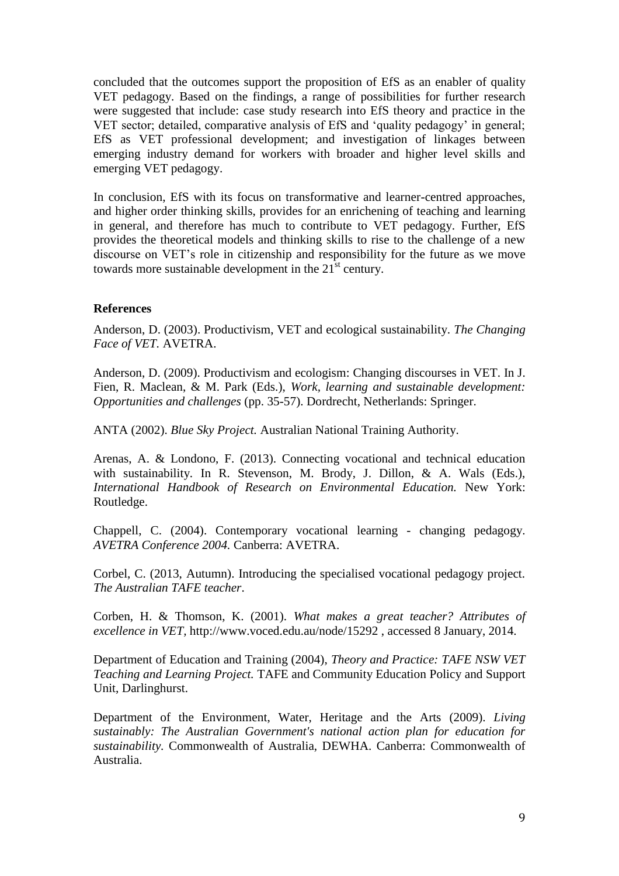concluded that the outcomes support the proposition of EfS as an enabler of quality VET pedagogy. Based on the findings, a range of possibilities for further research were suggested that include: case study research into EfS theory and practice in the VET sector; detailed, comparative analysis of EfS and 'quality pedagogy' in general; EfS as VET professional development; and investigation of linkages between emerging industry demand for workers with broader and higher level skills and emerging VET pedagogy.

In conclusion, EfS with its focus on transformative and learner-centred approaches, and higher order thinking skills, provides for an enrichening of teaching and learning in general, and therefore has much to contribute to VET pedagogy. Further, EfS provides the theoretical models and thinking skills to rise to the challenge of a new discourse on VET's role in citizenship and responsibility for the future as we move towards more sustainable development in the  $21^{st}$  century.

#### **References**

Anderson, D. (2003). Productivism, VET and ecological sustainability. *The Changing Face of VET.* AVETRA.

Anderson, D. (2009). Productivism and ecologism: Changing discourses in VET. In J. Fien, R. Maclean, & M. Park (Eds.), *Work, learning and sustainable development: Opportunities and challenges* (pp. 35-57). Dordrecht, Netherlands: Springer.

ANTA (2002). *Blue Sky Project.* Australian National Training Authority.

Arenas, A. & Londono, F. (2013). Connecting vocational and technical education with sustainability. In R. Stevenson, M. Brody, J. Dillon, & A. Wals (Eds.), *International Handbook of Research on Environmental Education.* New York: Routledge.

Chappell, C. (2004). Contemporary vocational learning - changing pedagogy. *AVETRA Conference 2004.* Canberra: AVETRA.

Corbel, C. (2013, Autumn). Introducing the specialised vocational pedagogy project. *The Australian TAFE teacher*.

Corben, H. & Thomson, K. (2001). *What makes a great teacher? Attributes of excellence in VET,* http://www.voced.edu.au/node/15292 , accessed 8 January, 2014.

Department of Education and Training (2004), *Theory and Practice: TAFE NSW VET Teaching and Learning Project.* TAFE and Community Education Policy and Support Unit, Darlinghurst.

Department of the Environment, Water, Heritage and the Arts (2009). *Living sustainably: The Australian Government's national action plan for education for sustainability.* Commonwealth of Australia, DEWHA. Canberra: Commonwealth of Australia.